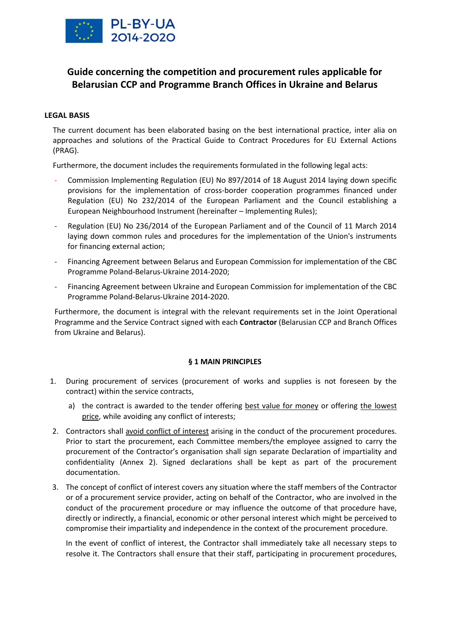

# **Guide concerning the competition and procurement rules applicable for Belarusian CCP and Programme Branch Offices in Ukraine and Belarus**

# **LEGAL BASIS**

The current document has been elaborated basing on the best international practice, inter alia on approaches and solutions of the Practical Guide to Contract Procedures for EU External Actions (PRAG).

Furthermore, the document includes the requirements formulated in the following legal acts:

- Commission Implementing Regulation (EU) No 897/2014 of 18 August 2014 laying down specific provisions for the implementation of cross-border cooperation programmes financed under Regulation (EU) No 232/2014 of the European Parliament and the Council establishing a European Neighbourhood Instrument (hereinafter – Implementing Rules);
- Regulation (EU) No 236/2014 of the European Parliament and of the Council of 11 March 2014 laying down common rules and procedures for the implementation of the Union's instruments for financing external action;
- Financing Agreement between Belarus and European Commission for implementation of the CBC Programme Poland-Belarus-Ukraine 2014-2020;
- Financing Agreement between Ukraine and European Commission for implementation of the CBC Programme Poland-Belarus-Ukraine 2014-2020.

Furthermore, the document is integral with the relevant requirements set in the Joint Operational Programme and the Service Contract signed with each **Contractor** (Belarusian CCP and Branch Offices from Ukraine and Belarus).

# **§ 1 MAIN PRINCIPLES**

- 1. During procurement of services (procurement of works and supplies is not foreseen by the contract) within the service contracts,
	- a) the contract is awarded to the tender offering best value for money or offering the lowest price, while avoiding any conflict of interests;
- 2. Contractors shall avoid conflict of interest arising in the conduct of the procurement procedures. Prior to start the procurement, each Committee members/the employee assigned to carry the procurement of the Contractor's organisation shall sign separate Declaration of impartiality and confidentiality (Annex 2). Signed declarations shall be kept as part of the procurement documentation.
- 3. The concept of conflict of interest covers any situation where the staff members of the Contractor or of a procurement service provider, acting on behalf of the Contractor, who are involved in the conduct of the procurement procedure or may influence the outcome of that procedure have, directly or indirectly, a financial, economic or other personal interest which might be perceived to compromise their impartiality and independence in the context of the procurement procedure.

In the event of conflict of interest, the Contractor shall immediately take all necessary steps to resolve it. The Contractors shall ensure that their staff, participating in procurement procedures,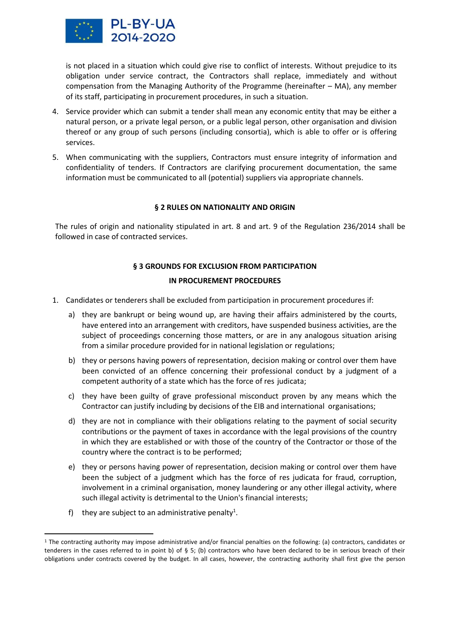

is not placed in a situation which could give rise to conflict of interests. Without prejudice to its obligation under service contract, the Contractors shall replace, immediately and without compensation from the Managing Authority of the Programme (hereinafter – MA), any member of its staff, participating in procurement procedures, in such a situation.

- 4. Service provider which can submit a tender shall mean any economic entity that may be either a natural person, or a private legal person, or a public legal person, other organisation and division thereof or any group of such persons (including consortia), which is able to offer or is offering services.
- 5. When communicating with the suppliers, Contractors must ensure integrity of information and confidentiality of tenders. If Contractors are clarifying procurement documentation, the same information must be communicated to all (potential) suppliers via appropriate channels.

# **§ 2 RULES ON NATIONALITY AND ORIGIN**

The rules of origin and nationality stipulated in art. 8 and art. 9 of the Regulation 236/2014 shall be followed in case of contracted services.

# **§ 3 GROUNDS FOR EXCLUSION FROM PARTICIPATION IN PROCUREMENT PROCEDURES**

- 1. Candidates or tenderers shall be excluded from participation in procurement procedures if:
	- a) they are bankrupt or being wound up, are having their affairs administered by the courts, have entered into an arrangement with creditors, have suspended business activities, are the subject of proceedings concerning those matters, or are in any analogous situation arising from a similar procedure provided for in national legislation or regulations;
	- b) they or persons having powers of representation, decision making or control over them have been convicted of an offence concerning their professional conduct by a judgment of a competent authority of a state which has the force of res judicata;
	- c) they have been guilty of grave professional misconduct proven by any means which the Contractor can justify including by decisions of the EIB and international organisations;
	- d) they are not in compliance with their obligations relating to the payment of social security contributions or the payment of taxes in accordance with the legal provisions of the country in which they are established or with those of the country of the Contractor or those of the country where the contract is to be performed;
	- e) they or persons having power of representation, decision making or control over them have been the subject of a judgment which has the force of res judicata for fraud, corruption, involvement in a criminal organisation, money laundering or any other illegal activity, where such illegal activity is detrimental to the Union's financial interests;
	- f) they are subject to an administrative penalty<sup>1</sup>.

<sup>1</sup> The contracting authority may impose administrative and/or financial penalties on the following: (a) contractors, candidates or tenderers in the cases referred to in point b) of § 5; (b) contractors who have been declared to be in serious breach of their obligations under contracts covered by the budget. In all cases, however, the contracting authority shall first give the person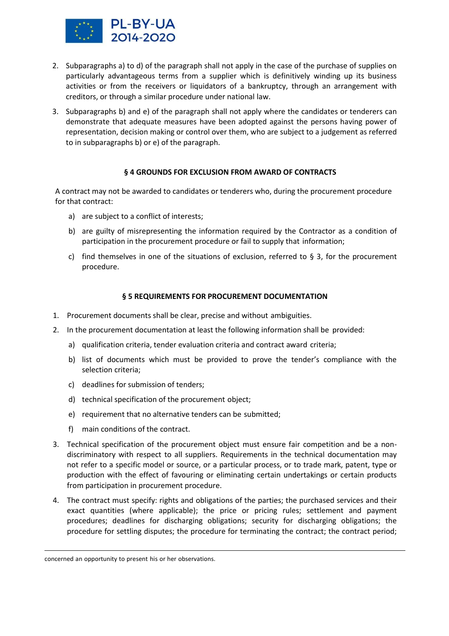

- 2. Subparagraphs a) to d) of the paragraph shall not apply in the case of the purchase of supplies on particularly advantageous terms from a supplier which is definitively winding up its business activities or from the receivers or liquidators of a bankruptcy, through an arrangement with creditors, or through a similar procedure under national law.
- 3. Subparagraphs b) and e) of the paragraph shall not apply where the candidates or tenderers can demonstrate that adequate measures have been adopted against the persons having power of representation, decision making or control over them, who are subject to a judgement as referred to in subparagraphs b) or e) of the paragraph.

# **§ 4 GROUNDS FOR EXCLUSION FROM AWARD OF CONTRACTS**

A contract may not be awarded to candidates or tenderers who, during the procurement procedure for that contract:

- a) are subject to a conflict of interests;
- b) are guilty of misrepresenting the information required by the Contractor as a condition of participation in the procurement procedure or fail to supply that information;
- c) find themselves in one of the situations of exclusion, referred to  $\S$  3, for the procurement procedure.

# **§ 5 REQUIREMENTS FOR PROCUREMENT DOCUMENTATION**

- 1. Procurement documents shall be clear, precise and without ambiguities.
- 2. In the procurement documentation at least the following information shall be provided:
	- a) qualification criteria, tender evaluation criteria and contract award criteria;
	- b) list of documents which must be provided to prove the tender's compliance with the selection criteria;
	- c) deadlines for submission of tenders;
	- d) technical specification of the procurement object;
	- e) requirement that no alternative tenders can be submitted;
	- f) main conditions of the contract.
- 3. Technical specification of the procurement object must ensure fair competition and be a nondiscriminatory with respect to all suppliers. Requirements in the technical documentation may not refer to a specific model or source, or a particular process, or to trade mark, patent, type or production with the effect of favouring or eliminating certain undertakings or certain products from participation in procurement procedure.
- 4. The contract must specify: rights and obligations of the parties; the purchased services and their exact quantities (where applicable); the price or pricing rules; settlement and payment procedures; deadlines for discharging obligations; security for discharging obligations; the procedure for settling disputes; the procedure for terminating the contract; the contract period;

concerned an opportunity to present his or her observations.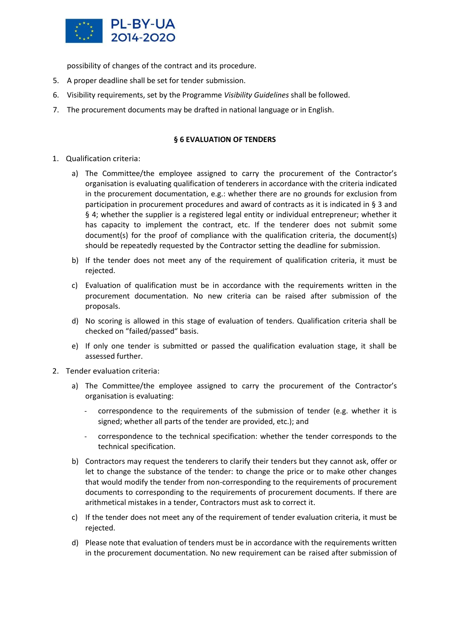

possibility of changes of the contract and its procedure.

- 5. A proper deadline shall be set for tender submission.
- 6. Visibility requirements, set by the Programme *Visibility Guidelines* shall be followed.
- 7. The procurement documents may be drafted in national language or in English.

# **§ 6 EVALUATION OF TENDERS**

- 1. Qualification criteria:
	- a) The Committee/the employee assigned to carry the procurement of the Contractor's organisation is evaluating qualification of tenderers in accordance with the criteria indicated in the procurement documentation, e.g.: whether there are no grounds for exclusion from participation in procurement procedures and award of contracts as it is indicated in § 3 and § 4; whether the supplier is a registered legal entity or individual entrepreneur; whether it has capacity to implement the contract, etc. If the tenderer does not submit some document(s) for the proof of compliance with the qualification criteria, the document(s) should be repeatedly requested by the Contractor setting the deadline for submission.
	- b) If the tender does not meet any of the requirement of qualification criteria, it must be rejected.
	- c) Evaluation of qualification must be in accordance with the requirements written in the procurement documentation. No new criteria can be raised after submission of the proposals.
	- d) No scoring is allowed in this stage of evaluation of tenders. Qualification criteria shall be checked on "failed/passed" basis.
	- e) If only one tender is submitted or passed the qualification evaluation stage, it shall be assessed further.
- 2. Tender evaluation criteria:
	- a) The Committee/the employee assigned to carry the procurement of the Contractor's organisation is evaluating:
		- correspondence to the requirements of the submission of tender (e.g. whether it is signed; whether all parts of the tender are provided, etc.); and
		- correspondence to the technical specification: whether the tender corresponds to the technical specification.
	- b) Contractors may request the tenderers to clarify their tenders but they cannot ask, offer or let to change the substance of the tender: to change the price or to make other changes that would modify the tender from non-corresponding to the requirements of procurement documents to corresponding to the requirements of procurement documents. If there are arithmetical mistakes in a tender, Contractors must ask to correct it.
	- c) If the tender does not meet any of the requirement of tender evaluation criteria, it must be rejected.
	- d) Please note that evaluation of tenders must be in accordance with the requirements written in the procurement documentation. No new requirement can be raised after submission of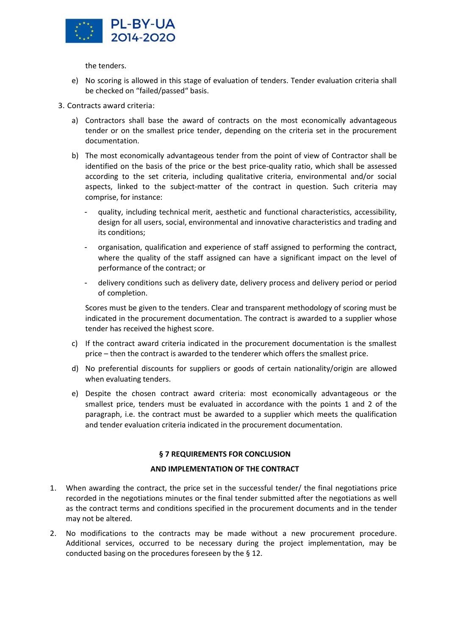

the tenders.

- e) No scoring is allowed in this stage of evaluation of tenders. Tender evaluation criteria shall be checked on "failed/passed" basis.
- 3. Contracts award criteria:
	- a) Contractors shall base the award of contracts on the most economically advantageous tender or on the smallest price tender, depending on the criteria set in the procurement documentation.
	- b) The most economically advantageous tender from the point of view of Contractor shall be identified on the basis of the price or the best price-quality ratio, which shall be assessed according to the set criteria, including qualitative criteria, environmental and/or social aspects, linked to the subject-matter of the contract in question. Such criteria may comprise, for instance:
		- quality, including technical merit, aesthetic and functional characteristics, accessibility, design for all users, social, environmental and innovative characteristics and trading and its conditions;
		- organisation, qualification and experience of staff assigned to performing the contract, where the quality of the staff assigned can have a significant impact on the level of performance of the contract; or
		- delivery conditions such as delivery date, delivery process and delivery period or period of completion.

Scores must be given to the tenders. Clear and transparent methodology of scoring must be indicated in the procurement documentation. The contract is awarded to a supplier whose tender has received the highest score.

- c) If the contract award criteria indicated in the procurement documentation is the smallest price – then the contract is awarded to the tenderer which offers the smallest price.
- d) No preferential discounts for suppliers or goods of certain nationality/origin are allowed when evaluating tenders.
- e) Despite the chosen contract award criteria: most economically advantageous or the smallest price, tenders must be evaluated in accordance with the points 1 and 2 of the paragraph, i.e. the contract must be awarded to a supplier which meets the qualification and tender evaluation criteria indicated in the procurement documentation.

# **§ 7 REQUIREMENTS FOR CONCLUSION**

# **AND IMPLEMENTATION OF THE CONTRACT**

- 1. When awarding the contract, the price set in the successful tender/ the final negotiations price recorded in the negotiations minutes or the final tender submitted after the negotiations as well as the contract terms and conditions specified in the procurement documents and in the tender may not be altered.
- 2. No modifications to the contracts may be made without a new procurement procedure. Additional services, occurred to be necessary during the project implementation, may be conducted basing on the procedures foreseen by the § 12.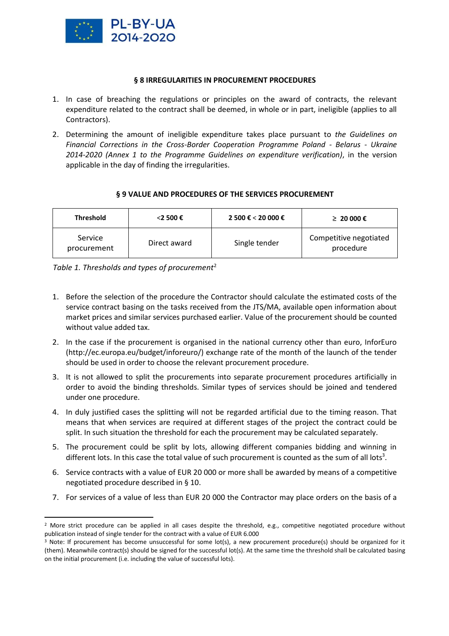

# **§ 8 IRREGULARITIES IN PROCUREMENT PROCEDURES**

- 1. In case of breaching the regulations or principles on the award of contracts, the relevant expenditure related to the contract shall be deemed, in whole or in part, ineligible (applies to all Contractors).
- 2. Determining the amount of ineligible expenditure takes place pursuant to *the Guidelines on Financial Corrections in the Cross-Border Cooperation Programme Poland - Belarus - Ukraine 2014-2020 (Annex 1 to the Programme Guidelines on expenditure verification)*, in the version applicable in the day of finding the irregularities.

# **§ 9 VALUE AND PROCEDURES OF THE SERVICES PROCUREMENT**

| <b>Threshold</b>       | $<$ 2 500 €  | 2 500 € < 20 000 € | ≥ 20000€                            |
|------------------------|--------------|--------------------|-------------------------------------|
| Service<br>procurement | Direct award | Single tender      | Competitive negotiated<br>procedure |

*Table 1. Thresholds and types of procurement*<sup>2</sup>

- 1. Before the selection of the procedure the Contractor should calculate the estimated costs of the service contract basing on the tasks received from the JTS/MA, available open information about market prices and similar services purchased earlier. Value of the procurement should be counted without value added tax.
- 2. In the case if the procurement is organised in the national currency other than euro, InforEuro [\(http://ec.europa.eu/budget/inforeuro/\) e](http://ec.europa.eu/budget/inforeuro/))xchange rate of the month of the launch of the tender should be used in order to choose the relevant procurement procedure.
- 3. It is not allowed to split the procurements into separate procurement procedures artificially in order to avoid the binding thresholds. Similar types of services should be joined and tendered under one procedure.
- 4. In duly justified cases the splitting will not be regarded artificial due to the timing reason. That means that when services are required at different stages of the project the contract could be split. In such situation the threshold for each the procurement may be calculated separately.
- 5. The procurement could be split by lots, allowing different companies bidding and winning in different lots. In this case the total value of such procurement is counted as the sum of all lots<sup>3</sup>.
- 6. Service contracts with a value of EUR 20 000 or more shall be awarded by means of a competitive negotiated procedure described in § 10.
- 7. For services of a value of less than EUR 20 000 the Contractor may place orders on the basis of a

 $2$  More strict procedure can be applied in all cases despite the threshold, e.g., competitive negotiated procedure without publication instead of single tender for the contract with a value of EUR 6.000

<sup>&</sup>lt;sup>3</sup> Note: If procurement has become unsuccessful for some lot(s), a new procurement procedure(s) should be organized for it (them). Meanwhile contract(s) should be signed for the successful lot(s). At the same time the threshold shall be calculated basing on the initial procurement (i.e. including the value of successful lots).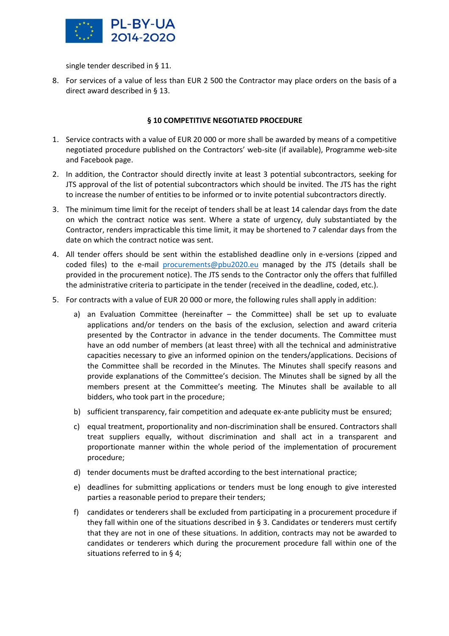

single tender described in § 11.

8. For services of a value of less than EUR 2 500 the Contractor may place orders on the basis of a direct award described in § 13.

# **§ 10 COMPETITIVE NEGOTIATED PROCEDURE**

- 1. Service contracts with a value of EUR 20 000 or more shall be awarded by means of a competitive negotiated procedure published on the Contractors' web-site (if available), Programme web-site and Facebook page.
- 2. In addition, the Contractor should directly invite at least 3 potential subcontractors, seeking for JTS approval of the list of potential subcontractors which should be invited. The JTS has the right to increase the number of entities to be informed or to invite potential subcontractors directly.
- 3. The minimum time limit for the receipt of tenders shall be at least 14 calendar days from the date on which the contract notice was sent. Where a state of urgency, duly substantiated by the Contractor, renders impracticable this time limit, it may be shortened to 7 calendar days from the date on which the contract notice was sent.
- 4. All tender offers should be sent within the established deadline only in e-versions (zipped and coded files) to the e-mail [procurements@pbu2020.eu](mailto:procurements@pbu2020.eu) managed by the JTS (details shall be provided in the procurement notice). The JTS sends to the Contractor only the offers that fulfilled the administrative criteria to participate in the tender (received in the deadline, coded, etc.).
- 5. For contracts with a value of EUR 20 000 or more, the following rules shall apply in addition:
	- a) an Evaluation Committee (hereinafter the Committee) shall be set up to evaluate applications and/or tenders on the basis of the exclusion, selection and award criteria presented by the Contractor in advance in the tender documents. The Committee must have an odd number of members (at least three) with all the technical and administrative capacities necessary to give an informed opinion on the tenders/applications. Decisions of the Committee shall be recorded in the Minutes. The Minutes shall specify reasons and provide explanations of the Committee's decision. The Minutes shall be signed by all the members present at the Committee's meeting. The Minutes shall be available to all bidders, who took part in the procedure;
	- b) sufficient transparency, fair competition and adequate ex-ante publicity must be ensured;
	- c) equal treatment, proportionality and non-discrimination shall be ensured. Contractors shall treat suppliers equally, without discrimination and shall act in a transparent and proportionate manner within the whole period of the implementation of procurement procedure;
	- d) tender documents must be drafted according to the best international practice;
	- e) deadlines for submitting applications or tenders must be long enough to give interested parties a reasonable period to prepare their tenders;
	- f) candidates or tenderers shall be excluded from participating in a procurement procedure if they fall within one of the situations described in § 3. Candidates or tenderers must certify that they are not in one of these situations. In addition, contracts may not be awarded to candidates or tenderers which during the procurement procedure fall within one of the situations referred to in § 4;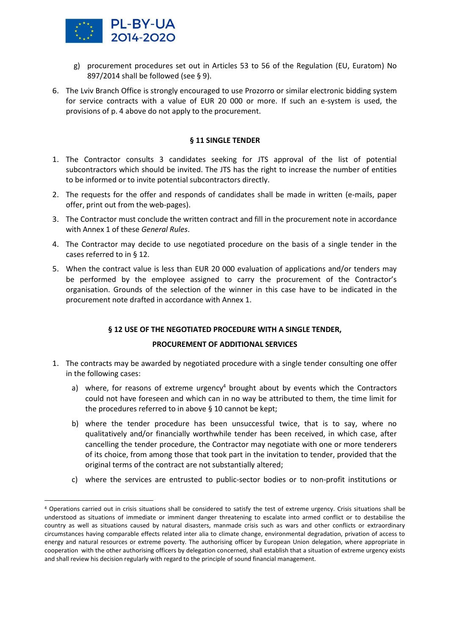

- g) procurement procedures set out in Articles 53 to 56 of the Regulation (EU, Euratom) No 897/2014 shall be followed (see § 9).
- 6. The Lviv Branch Office is strongly encouraged to use Prozorro or similar electronic bidding system for service contracts with a value of EUR 20 000 or more. If such an e-system is used, the provisions of p. 4 above do not apply to the procurement.

#### **§ 11 SINGLE TENDER**

- 1. The Contractor consults 3 candidates seeking for JTS approval of the list of potential subcontractors which should be invited. The JTS has the right to increase the number of entities to be informed or to invite potential subcontractors directly.
- 2. The requests for the offer and responds of candidates shall be made in written (e-mails, paper offer, print out from the web-pages).
- 3. The Contractor must conclude the written contract and fill in the procurement note in accordance with Annex 1 of these *General Rules*.
- 4. The Contractor may decide to use negotiated procedure on the basis of a single tender in the cases referred to in § 12.
- 5. When the contract value is less than EUR 20 000 evaluation of applications and/or tenders may be performed by the employee assigned to carry the procurement of the Contractor's organisation. Grounds of the selection of the winner in this case have to be indicated in the procurement note drafted in accordance with Annex 1.

# **§ 12 USE OF THE NEGOTIATED PROCEDURE WITH A SINGLE TENDER,**

# **PROCUREMENT OF ADDITIONAL SERVICES**

- 1. The contracts may be awarded by negotiated procedure with a single tender consulting one offer in the following cases:
	- a) where, for reasons of extreme urgency $4$  brought about by events which the Contractors could not have foreseen and which can in no way be attributed to them, the time limit for the procedures referred to in above § 10 cannot be kept;
	- b) where the tender procedure has been unsuccessful twice, that is to say, where no qualitatively and/or financially worthwhile tender has been received, in which case, after cancelling the tender procedure, the Contractor may negotiate with one or more tenderers of its choice, from among those that took part in the invitation to tender, provided that the original terms of the contract are not substantially altered;
	- c) where the services are entrusted to public-sector bodies or to non-profit institutions or

<sup>&</sup>lt;sup>4</sup> Operations carried out in crisis situations shall be considered to satisfy the test of extreme urgency. Crisis situations shall be understood as situations of immediate or imminent danger threatening to escalate into armed conflict or to destabilise the country as well as situations caused by natural disasters, manmade crisis such as wars and other conflicts or extraordinary circumstances having comparable effects related inter alia to climate change, environmental degradation, privation of access to energy and natural resources or extreme poverty. The authorising officer by European Union delegation, where appropriate in cooperation with the other authorising officers by delegation concerned, shall establish that a situation of extreme urgency exists and shall review his decision regularly with regard to the principle of sound financial management.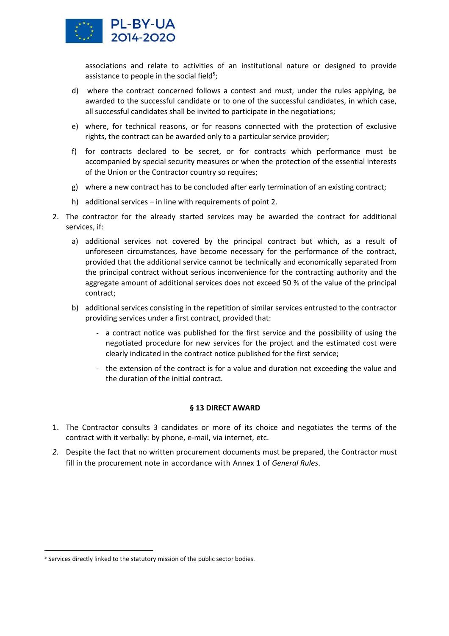

associations and relate to activities of an institutional nature or designed to provide assistance to people in the social field<sup>5</sup>;

- d) where the contract concerned follows a contest and must, under the rules applying, be awarded to the successful candidate or to one of the successful candidates, in which case, all successful candidates shall be invited to participate in the negotiations;
- e) where, for technical reasons, or for reasons connected with the protection of exclusive rights, the contract can be awarded only to a particular service provider;
- f) for contracts declared to be secret, or for contracts which performance must be accompanied by special security measures or when the protection of the essential interests of the Union or the Contractor country so requires;
- g) where a new contract has to be concluded after early termination of an existing contract;
- h) additional services in line with requirements of point 2.
- 2. The contractor for the already started services may be awarded the contract for additional services, if:
	- a) additional services not covered by the principal contract but which, as a result of unforeseen circumstances, have become necessary for the performance of the contract, provided that the additional service cannot be technically and economically separated from the principal contract without serious inconvenience for the contracting authority and the aggregate amount of additional services does not exceed 50 % of the value of the principal contract;
	- b) additional services consisting in the repetition of similar services entrusted to the contractor providing services under a first contract, provided that:
		- a contract notice was published for the first service and the possibility of using the negotiated procedure for new services for the project and the estimated cost were clearly indicated in the contract notice published for the first service;
		- the extension of the contract is for a value and duration not exceeding the value and the duration of the initial contract.

# **§ 13 DIRECT AWARD**

- 1. The Contractor consults 3 candidates or more of its choice and negotiates the terms of the contract with it verbally: by phone, e-mail, via internet, etc.
- *2.* Despite the fact that no written procurement documents must be prepared, the Contractor must fill in the procurement note in accordance with Annex 1 of *General Rules*.

<sup>&</sup>lt;sup>5</sup> Services directly linked to the statutory mission of the public sector bodies.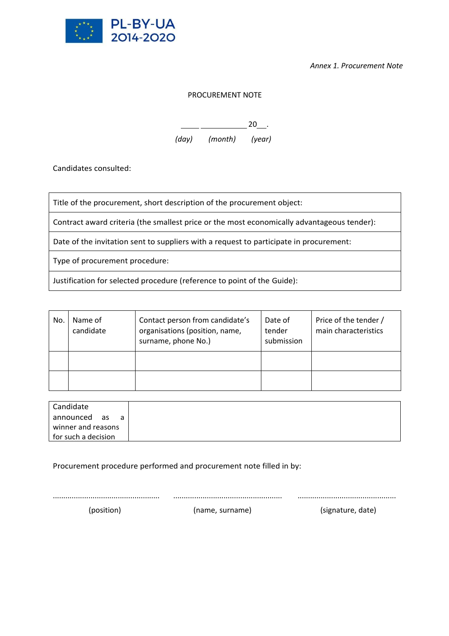

*Annex 1. Procurement Note*

# PROCUREMENT NOTE

 $\overline{\phantom{20}}$  . 20

*(day) (month) (year)*

Candidates consulted:

Title of the procurement, short description of the procurement object:

Contract award criteria (the smallest price or the most economically advantageous tender):

Date of the invitation sent to suppliers with a request to participate in procurement:

Type of procurement procedure:

Justification for selected procedure (reference to point of the Guide):

| No. | Name of<br>candidate | Contact person from candidate's<br>organisations (position, name,<br>surname, phone No.) | Date of<br>tender<br>submission | Price of the tender /<br>main characteristics |
|-----|----------------------|------------------------------------------------------------------------------------------|---------------------------------|-----------------------------------------------|
|     |                      |                                                                                          |                                 |                                               |
|     |                      |                                                                                          |                                 |                                               |

| Candidate           |
|---------------------|
| announced as<br>a a |
| winner and reasons  |
| for such a decision |

Procurement procedure performed and procurement note filled in by:

................................................... .................................................... ...............................................

(position) (name, surname) (signature, date)